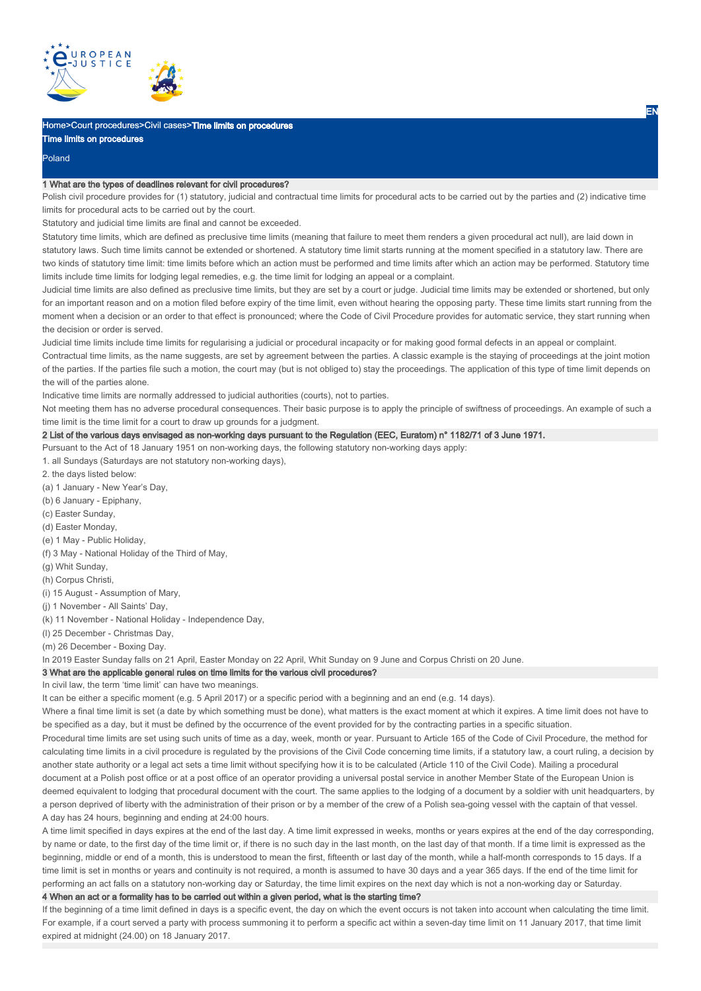

# Home>Court procedures>Civil cases>Time limits on procedures

Time limits on procedures

Poland

## 1 What are the types of deadlines relevant for civil procedures?

Polish civil procedure provides for (1) statutory, judicial and contractual time limits for procedural acts to be carried out by the parties and (2) indicative time limits for procedural acts to be carried out by the court.

Statutory and judicial time limits are final and cannot be exceeded.

Statutory time limits, which are defined as preclusive time limits (meaning that failure to meet them renders a given procedural act null), are laid down in statutory laws. Such time limits cannot be extended or shortened. A statutory time limit starts running at the moment specified in a statutory law. There are two kinds of statutory time limit: time limits before which an action must be performed and time limits after which an action may be performed. Statutory time limits include time limits for lodging legal remedies, e.g. the time limit for lodging an appeal or a complaint.

Judicial time limits are also defined as preclusive time limits, but they are set by a court or judge. Judicial time limits may be extended or shortened, but only for an important reason and on a motion filed before expiry of the time limit, even without hearing the opposing party. These time limits start running from the moment when a decision or an order to that effect is pronounced; where the Code of Civil Procedure provides for automatic service, they start running when the decision or order is served.

Judicial time limits include time limits for regularising a judicial or procedural incapacity or for making good formal defects in an appeal or complaint.

Contractual time limits, as the name suggests, are set by agreement between the parties. A classic example is the staying of proceedings at the joint motion of the parties. If the parties file such a motion, the court may (but is not obliged to) stay the proceedings. The application of this type of time limit depends on the will of the parties alone.

Indicative time limits are normally addressed to judicial authorities (courts), not to parties.

Not meeting them has no adverse procedural consequences. Their basic purpose is to apply the principle of swiftness of proceedings. An example of such a time limit is the time limit for a court to draw up grounds for a judgment.

# 2 List of the various days envisaged as non-working days pursuant to the Regulation (EEC, Euratom) n° 1182/71 of 3 June 1971.

Pursuant to the Act of 18 January 1951 on non-working days, the following statutory non-working days apply:

- 1. all Sundays (Saturdays are not statutory non-working days),
- 2. the days listed below:
- (a) 1 January New Year's Day,
- (b) 6 January Epiphany,
- (c) Easter Sunday,
- (d) Easter Monday,
- (e) 1 May Public Holiday,
- (f) 3 May National Holiday of the Third of May,
- (g) Whit Sunday,
- (h) Corpus Christi,
- (i) 15 August Assumption of Mary,
- (j) 1 November All Saints' Day,
- (k) 11 November National Holiday Independence Day,
- (l) 25 December Christmas Day,
- (m) 26 December Boxing Day.
- In 2019 Easter Sunday falls on 21 April, Easter Monday on 22 April, Whit Sunday on 9 June and Corpus Christi on 20 June.

# 3 What are the applicable general rules on time limits for the various civil procedures?

In civil law, the term 'time limit' can have two meanings.

It can be either a specific moment (e.g. 5 April 2017) or a specific period with a beginning and an end (e.g. 14 days).

Where a final time limit is set (a date by which something must be done), what matters is the exact moment at which it expires. A time limit does not have to be specified as a day, but it must be defined by the occurrence of the event provided for by the contracting parties in a specific situation.

Procedural time limits are set using such units of time as a day, week, month or year. Pursuant to Article 165 of the Code of Civil Procedure, the method for calculating time limits in a civil procedure is regulated by the provisions of the Civil Code concerning time limits, if a statutory law, a court ruling, a decision by another state authority or a legal act sets a time limit without specifying how it is to be calculated (Article 110 of the Civil Code). Mailing a procedural document at a Polish post office or at a post office of an operator providing a universal postal service in another Member State of the European Union is deemed equivalent to lodging that procedural document with the court. The same applies to the lodging of a document by a soldier with unit headquarters, by a person deprived of liberty with the administration of their prison or by a member of the crew of a Polish sea-going vessel with the captain of that vessel. A day has 24 hours, beginning and ending at 24:00 hours.

A time limit specified in days expires at the end of the last day. A time limit expressed in weeks, months or years expires at the end of the day corresponding, by name or date, to the first day of the time limit or, if there is no such day in the last month, on the last day of that month. If a time limit is expressed as the beginning, middle or end of a month, this is understood to mean the first, fifteenth or last day of the month, while a half-month corresponds to 15 days. If a time limit is set in months or years and continuity is not required, a month is assumed to have 30 days and a year 365 days. If the end of the time limit for performing an act falls on a statutory non-working day or Saturday, the time limit expires on the next day which is not a non-working day or Saturday.

4 When an act or a formality has to be carried out within a given period, what is the starting time?

If the beginning of a time limit defined in days is a specific event, the day on which the event occurs is not taken into account when calculating the time limit. For example, if a court served a party with process summoning it to perform a specific act within a seven-day time limit on 11 January 2017, that time limit expired at midnight (24.00) on 18 January 2017.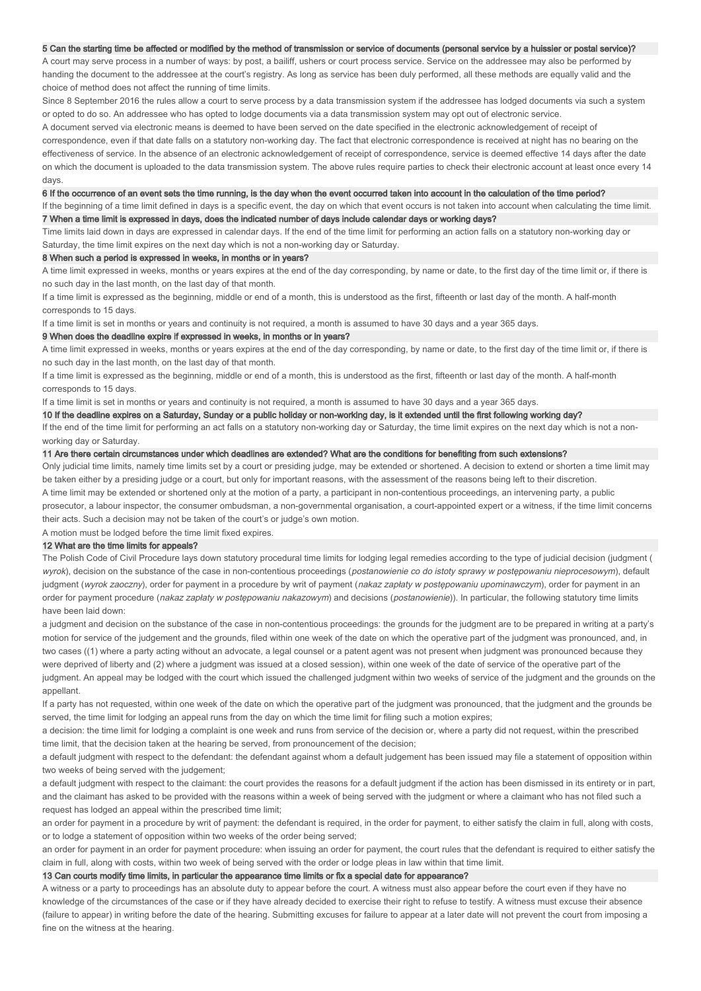### 5 Can the starting time be affected or modified by the method of transmission or service of documents (personal service by a huissier or postal service)?

A court may serve process in a number of ways: by post, a bailiff, ushers or court process service. Service on the addressee may also be performed by handing the document to the addressee at the court's registry. As long as service has been duly performed, all these methods are equally valid and the choice of method does not affect the running of time limits.

Since 8 September 2016 the rules allow a court to serve process by a data transmission system if the addressee has lodged documents via such a system or opted to do so. An addressee who has opted to lodge documents via a data transmission system may opt out of electronic service.

A document served via electronic means is deemed to have been served on the date specified in the electronic acknowledgement of receipt of correspondence, even if that date falls on a statutory non-working day. The fact that electronic correspondence is received at night has no bearing on the effectiveness of service. In the absence of an electronic acknowledgement of receipt of correspondence, service is deemed effective 14 days after the date on which the document is uploaded to the data transmission system. The above rules require parties to check their electronic account at least once every 14 days.

6 If the occurrence of an event sets the time running, is the day when the event occurred taken into account in the calculation of the time period? If the beginning of a time limit defined in days is a specific event, the day on which that event occurs is not taken into account when calculating the time limit.

7 When a time limit is expressed in days, does the indicated number of days include calendar days or working days? Time limits laid down in days are expressed in calendar days. If the end of the time limit for performing an action falls on a statutory non-working day or

# Saturday, the time limit expires on the next day which is not a non-working day or Saturday.

#### 8 When such a period is expressed in weeks, in months or in years?

A time limit expressed in weeks, months or years expires at the end of the day corresponding, by name or date, to the first day of the time limit or, if there is no such day in the last month, on the last day of that month.

If a time limit is expressed as the beginning, middle or end of a month, this is understood as the first, fifteenth or last day of the month. A half-month corresponds to 15 days.

If a time limit is set in months or years and continuity is not required, a month is assumed to have 30 days and a year 365 days.

#### 9 When does the deadline expire if expressed in weeks, in months or in years?

A time limit expressed in weeks, months or years expires at the end of the day corresponding, by name or date, to the first day of the time limit or, if there is no such day in the last month, on the last day of that month.

If a time limit is expressed as the beginning, middle or end of a month, this is understood as the first, fifteenth or last day of the month. A half-month corresponds to 15 days.

If a time limit is set in months or years and continuity is not required, a month is assumed to have 30 days and a year 365 days.

#### 10 If the deadline expires on a Saturday, Sunday or a public holiday or non-working day, is it extended until the first following working day?

If the end of the time limit for performing an act falls on a statutory non-working day or Saturday, the time limit expires on the next day which is not a nonworking day or Saturday.

# 11 Are there certain circumstances under which deadlines are extended? What are the conditions for benefiting from such extensions?

Only judicial time limits, namely time limits set by a court or presiding judge, may be extended or shortened. A decision to extend or shorten a time limit may be taken either by a presiding judge or a court, but only for important reasons, with the assessment of the reasons being left to their discretion. A time limit may be extended or shortened only at the motion of a party, a participant in non-contentious proceedings, an intervening party, a public prosecutor, a labour inspector, the consumer ombudsman, a non-governmental organisation, a court-appointed expert or a witness, if the time limit concerns their acts. Such a decision may not be taken of the court's or judge's own motion.

A motion must be lodged before the time limit fixed expires.

### 12 What are the time limits for appeals?

The Polish Code of Civil Procedure lays down statutory procedural time limits for lodging legal remedies according to the type of judicial decision (judgment ( wyrok), decision on the substance of the case in non-contentious proceedings (postanowienie co do istoty sprawy w postępowaniu nieprocesowym), default judgment (wyrok zaoczny), order for payment in a procedure by writ of payment (nakaz zapłaty w postępowaniu upominawczym), order for payment in an order for payment procedure (nakaz zapłaty w postępowaniu nakazowym) and decisions (postanowienie)). In particular, the following statutory time limits have been laid down:

a judgment and decision on the substance of the case in non-contentious proceedings: the grounds for the judgment are to be prepared in writing at a party's motion for service of the judgement and the grounds, filed within one week of the date on which the operative part of the judgment was pronounced, and, in two cases ((1) where a party acting without an advocate, a legal counsel or a patent agent was not present when judgment was pronounced because they were deprived of liberty and (2) where a judgment was issued at a closed session), within one week of the date of service of the operative part of the judgment. An appeal may be lodged with the court which issued the challenged judgment within two weeks of service of the judgment and the grounds on the appellant.

If a party has not requested, within one week of the date on which the operative part of the judgment was pronounced, that the judgment and the grounds be served, the time limit for lodging an appeal runs from the day on which the time limit for filing such a motion expires;

a decision: the time limit for lodging a complaint is one week and runs from service of the decision or, where a party did not request, within the prescribed time limit, that the decision taken at the hearing be served, from pronouncement of the decision;

a default judgment with respect to the defendant: the defendant against whom a default judgement has been issued may file a statement of opposition within two weeks of being served with the judgement;

a default judgment with respect to the claimant: the court provides the reasons for a default judgment if the action has been dismissed in its entirety or in part. and the claimant has asked to be provided with the reasons within a week of being served with the judgment or where a claimant who has not filed such a request has lodged an appeal within the prescribed time limit;

an order for payment in a procedure by writ of payment; the defendant is required, in the order for payment, to either satisfy the claim in full, along with costs, or to lodge a statement of opposition within two weeks of the order being served;

an order for payment in an order for payment procedure: when issuing an order for payment, the court rules that the defendant is required to either satisfy the claim in full, along with costs, within two week of being served with the order or lodge pleas in law within that time limit.

#### 13 Can courts modify time limits, in particular the appearance time limits or fix a special date for appearance?

A witness or a party to proceedings has an absolute duty to appear before the court. A witness must also appear before the court even if they have no knowledge of the circumstances of the case or if they have already decided to exercise their right to refuse to testify. A witness must excuse their absence (failure to appear) in writing before the date of the hearing. Submitting excuses for failure to appear at a later date will not prevent the court from imposing a fine on the witness at the hearing.